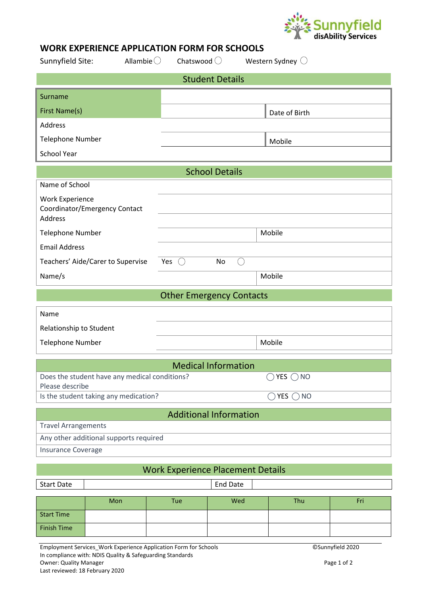

## **WORK EXPERIENCE APPLICATION FORM FOR SCHOOLS**

| Sunnyfield Site:                         |                                               | Allambie $\bigcirc$                      | Chatswood $\bigcirc$          | Western Sydney $\bigcirc$    |                                 |  |  |  |  |  |  |  |
|------------------------------------------|-----------------------------------------------|------------------------------------------|-------------------------------|------------------------------|---------------------------------|--|--|--|--|--|--|--|
| <b>Student Details</b>                   |                                               |                                          |                               |                              |                                 |  |  |  |  |  |  |  |
| Surname                                  |                                               |                                          |                               |                              |                                 |  |  |  |  |  |  |  |
| First Name(s)                            |                                               |                                          |                               | Date of Birth                |                                 |  |  |  |  |  |  |  |
| <b>Address</b>                           |                                               |                                          |                               |                              |                                 |  |  |  |  |  |  |  |
| <b>Telephone Number</b>                  |                                               |                                          |                               | Mobile                       |                                 |  |  |  |  |  |  |  |
| <b>School Year</b>                       |                                               |                                          |                               |                              |                                 |  |  |  |  |  |  |  |
|                                          | <b>School Details</b>                         |                                          |                               |                              |                                 |  |  |  |  |  |  |  |
| Name of School                           |                                               |                                          |                               |                              |                                 |  |  |  |  |  |  |  |
| <b>Work Experience</b><br><b>Address</b> | Coordinator/Emergency Contact                 |                                          |                               |                              |                                 |  |  |  |  |  |  |  |
| <b>Telephone Number</b>                  |                                               |                                          |                               | Mobile                       |                                 |  |  |  |  |  |  |  |
| <b>Email Address</b>                     |                                               |                                          |                               |                              |                                 |  |  |  |  |  |  |  |
|                                          | Teachers' Aide/Carer to Supervise             | Yes $\bigcirc$                           | No<br>( )                     |                              |                                 |  |  |  |  |  |  |  |
| Name/s                                   |                                               |                                          |                               | Mobile                       |                                 |  |  |  |  |  |  |  |
|                                          |                                               |                                          |                               |                              | <b>Other Emergency Contacts</b> |  |  |  |  |  |  |  |
| Name                                     |                                               |                                          |                               |                              |                                 |  |  |  |  |  |  |  |
|                                          |                                               |                                          |                               |                              |                                 |  |  |  |  |  |  |  |
| Relationship to Student                  |                                               |                                          |                               |                              |                                 |  |  |  |  |  |  |  |
| <b>Telephone Number</b>                  |                                               |                                          |                               | Mobile                       |                                 |  |  |  |  |  |  |  |
|                                          |                                               |                                          |                               |                              |                                 |  |  |  |  |  |  |  |
|                                          |                                               |                                          | <b>Medical Information</b>    |                              |                                 |  |  |  |  |  |  |  |
| Please describe                          | Does the student have any medical conditions? |                                          |                               | YES $\bigcap$ NO             |                                 |  |  |  |  |  |  |  |
|                                          | Is the student taking any medication?         |                                          |                               | $\bigcirc$ YES $\bigcirc$ NO |                                 |  |  |  |  |  |  |  |
|                                          |                                               |                                          | <b>Additional Information</b> |                              |                                 |  |  |  |  |  |  |  |
| <b>Travel Arrangements</b>               |                                               |                                          |                               |                              |                                 |  |  |  |  |  |  |  |
|                                          | Any other additional supports required        |                                          |                               |                              |                                 |  |  |  |  |  |  |  |
| Insurance Coverage                       |                                               |                                          |                               |                              |                                 |  |  |  |  |  |  |  |
|                                          |                                               | <b>Work Experience Placement Details</b> |                               |                              |                                 |  |  |  |  |  |  |  |
| <b>Start Date</b>                        |                                               |                                          | <b>End Date</b>               |                              |                                 |  |  |  |  |  |  |  |
|                                          | Mon                                           | Tue                                      | Wed                           | Thu                          | Fri                             |  |  |  |  |  |  |  |

Finish Time